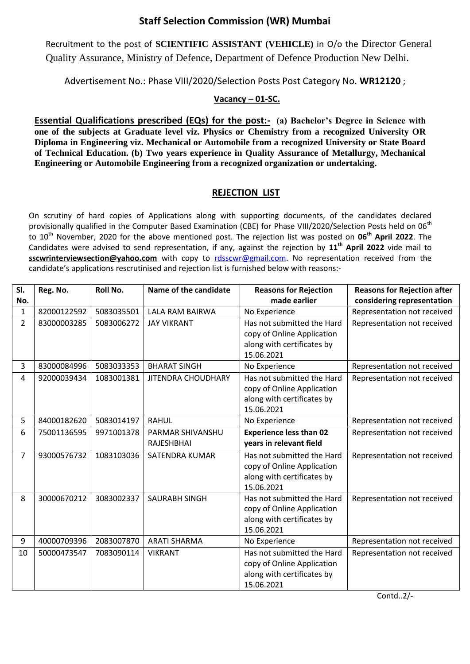## **Staff Selection Commission (WR) Mumbai**

Recruitment to the post of **SCIENTIFIC ASSISTANT (VEHICLE)** in O/o the Director General Quality Assurance, Ministry of Defence, Department of Defence Production New Delhi.

Advertisement No.: Phase VIII/2020/Selection Posts Post Category No. **WR12120** ;

## **Vacancy – 01-SC.**

**Essential Qualifications prescribed (EQs) for the post:- (a) Bachelor's Degree in Science with one of the subjects at Graduate level viz. Physics or Chemistry from a recognized University OR Diploma in Engineering viz. Mechanical or Automobile from a recognized University or State Board of Technical Education. (b) Two years experience in Quality Assurance of Metallurgy, Mechanical Engineering or Automobile Engineering from a recognized organization or undertaking.**

## **REJECTION LIST**

On scrutiny of hard copies of Applications along with supporting documents, of the candidates declared provisionally qualified in the Computer Based Examination (CBE) for Phase VIII/2020/Selection Posts held on 06<sup>th</sup> to 10th November, 2020 for the above mentioned post. The rejection list was posted on **06 th April 2022**. The Candidates were advised to send representation, if any, against the rejection by **11th April 2022** vide mail to sscwrinterviewsection@yahoo.com with copy to [rdsscwr@gmail.com.](mailto:rdsscwr@gmail.com) No representation received from the candidate's applications rescrutinised and rejection list is furnished below with reasons:-

| SI.            | Reg. No.    | <b>Roll No.</b> | Name of the candidate                 | <b>Reasons for Rejection</b>                                                                         | <b>Reasons for Rejection after</b> |
|----------------|-------------|-----------------|---------------------------------------|------------------------------------------------------------------------------------------------------|------------------------------------|
| No.            |             |                 |                                       | made earlier                                                                                         | considering representation         |
| 1              | 82000122592 | 5083035501      | LALA RAM BAIRWA                       | No Experience                                                                                        | Representation not received        |
| $\overline{2}$ | 83000003285 | 5083006272      | <b>JAY VIKRANT</b>                    | Has not submitted the Hard<br>copy of Online Application<br>along with certificates by<br>15.06.2021 | Representation not received        |
| 3              | 83000084996 | 5083033353      | <b>BHARAT SINGH</b>                   | No Experience                                                                                        | Representation not received        |
| 4              | 92000039434 | 1083001381      | <b>JITENDRA CHOUDHARY</b>             | Has not submitted the Hard<br>copy of Online Application<br>along with certificates by<br>15.06.2021 | Representation not received        |
| 5              | 84000182620 | 5083014197      | <b>RAHUL</b>                          | No Experience                                                                                        | Representation not received        |
| 6              | 75001136595 | 9971001378      | PARMAR SHIVANSHU<br><b>RAJESHBHAI</b> | <b>Experience less than 02</b><br>years in relevant field                                            | Representation not received        |
| 7              | 93000576732 | 1083103036      | <b>SATENDRA KUMAR</b>                 | Has not submitted the Hard<br>copy of Online Application<br>along with certificates by<br>15.06.2021 | Representation not received        |
| 8              | 30000670212 | 3083002337      | <b>SAURABH SINGH</b>                  | Has not submitted the Hard<br>copy of Online Application<br>along with certificates by<br>15.06.2021 | Representation not received        |
| 9              | 40000709396 | 2083007870      | <b>ARATI SHARMA</b>                   | No Experience                                                                                        | Representation not received        |
| 10             | 50000473547 | 7083090114      | <b>VIKRANT</b>                        | Has not submitted the Hard<br>copy of Online Application<br>along with certificates by<br>15.06.2021 | Representation not received        |

Contd..2/-